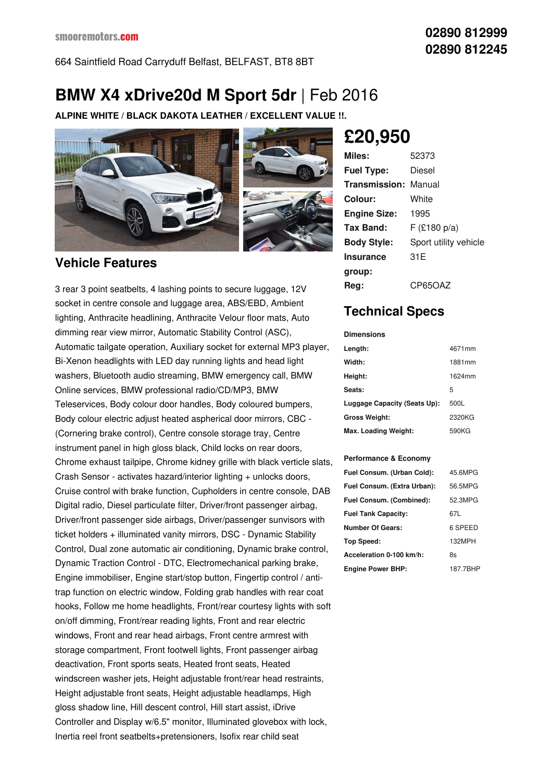664 Saintfield Road Carryduff Belfast, BELFAST, BT8 8BT

# **BMW X4 xDrive20d M Sport 5dr** |Feb 2016

**ALPINE WHITE / BLACK DAKOTA LEATHER / EXCELLENT VALUE !!.**



### **Vehicle Features**

3 rear 3 point seatbelts, 4 lashing points to secure luggage, 12V socket in centre console and luggage area, ABS/EBD, Ambient lighting, Anthracite headlining, Anthracite Velour floor mats, Auto dimming rear view mirror, Automatic Stability Control (ASC), Automatic tailgate operation, Auxiliary socket for external MP3 player, Bi-Xenon headlights with LED day running lights and head light washers, Bluetooth audio streaming, BMW emergency call, BMW Online services, BMW professional radio/CD/MP3, BMW Teleservices, Body colour door handles, Body coloured bumpers, Body colour electric adjust heated aspherical door mirrors, CBC - (Cornering brake control), Centre console storage tray, Centre instrument panel in high gloss black, Child locks on rear doors, Chrome exhaust tailpipe, Chrome kidney grille with black verticle slats, Crash Sensor - activates hazard/interior lighting + unlocks doors, Cruise control with brake function, Cupholders in centre console, DAB Digital radio, Diesel particulate filter, Driver/front passenger airbag, Driver/front passenger side airbags, Driver/passenger sunvisors with ticket holders + illuminated vanity mirrors, DSC - Dynamic Stability Control, Dual zone automatic air conditioning, Dynamic brake control, Dynamic Traction Control - DTC, Electromechanical parking brake, Engine immobiliser, Engine start/stop button, Fingertip control / antitrap function on electric window, Folding grab handles with rear coat hooks, Follow me home headlights, Front/rear courtesy lights with soft on/off dimming, Front/rear reading lights, Front and rear electric windows, Front and rear head airbags, Front centre armrest with storage compartment, Front footwell lights, Front passenger airbag deactivation, Front sports seats, Heated front seats, Heated windscreen washer jets, Height adjustable front/rear head restraints, Height adjustable front seats, Height adjustable headlamps, High gloss shadow line, Hill descent control, Hill start assist, iDrive Controller and Display w/6.5" monitor, Illuminated glovebox with lock, Inertia reel front seatbelts+pretensioners, Isofix rear child seat

**£20,950**

| Miles:              | 52373                 |
|---------------------|-----------------------|
| <b>Fuel Type:</b>   | Diesel                |
| Transmission:       | Manual                |
| Colour:             | White                 |
| <b>Engine Size:</b> | 1995                  |
| Tax Band:           | F(£180 p/a)           |
| <b>Body Style:</b>  | Sport utility vehicle |
| <b>Insurance</b>    | 31 E                  |
| group:              |                       |
| Rea:                | CP65OAZ               |

## **Technical Specs**

#### **Dimensions Length:** 4671mm **Width:** 1881mm **Height:** 1624mm **Seats:** 5 **Luggage Capacity (Seats Up):** 500L **Gross Weight:** 2320KG **Max. Loading Weight:** 590KG

#### **Performance & Economy**

| Fuel Consum. (Urban Cold):  | 45.6MPG  |
|-----------------------------|----------|
| Fuel Consum. (Extra Urban): | 56.5MPG  |
| Fuel Consum. (Combined):    | 52.3MPG  |
| <b>Fuel Tank Capacity:</b>  | 67L      |
| <b>Number Of Gears:</b>     | 6 SPEED  |
| Top Speed:                  | 132MPH   |
| Acceleration 0-100 km/h:    | 8s       |
| <b>Engine Power BHP:</b>    | 187.7BHP |